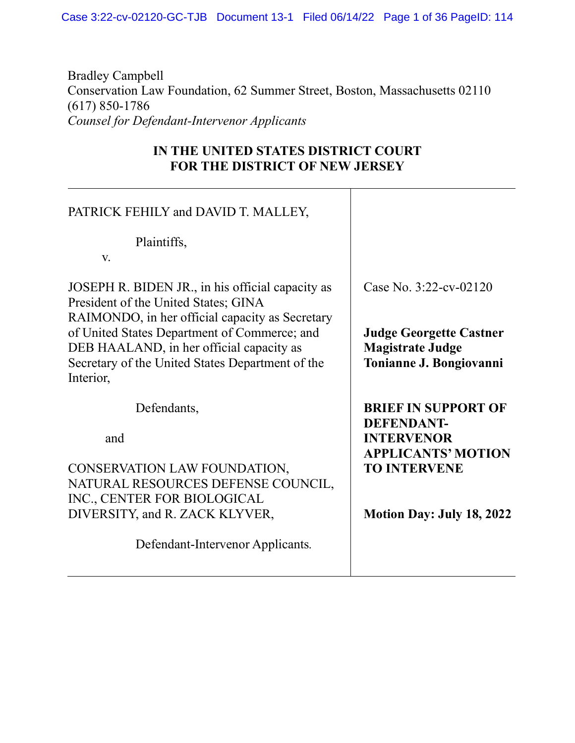Case 3:22-cv-02120-GC-TJB Document 13-1 Filed 06/14/22 Page 1 of 36 PageID: 114

Bradley Campbell Conservation Law Foundation, 62 Summer Street, Boston, Massachusetts 02110 (617) 850-1786 *Counsel for Defendant-Intervenor Applicants*

## **IN THE UNITED STATES DISTRICT COURT FOR THE DISTRICT OF NEW JERSEY**

| PATRICK FEHILY and DAVID T. MALLEY,                                                                                                                                                                                                                                                                      |                                                                                                                                                              |
|----------------------------------------------------------------------------------------------------------------------------------------------------------------------------------------------------------------------------------------------------------------------------------------------------------|--------------------------------------------------------------------------------------------------------------------------------------------------------------|
| Plaintiffs,<br>V.                                                                                                                                                                                                                                                                                        |                                                                                                                                                              |
| JOSEPH R. BIDEN JR., in his official capacity as<br>President of the United States; GINA<br>RAIMONDO, in her official capacity as Secretary<br>of United States Department of Commerce; and<br>DEB HAALAND, in her official capacity as<br>Secretary of the United States Department of the<br>Interior, | Case No. 3:22-cv-02120<br><b>Judge Georgette Castner</b><br><b>Magistrate Judge</b><br>Tonianne J. Bongiovanni                                               |
| Defendants,<br>and<br>CONSERVATION LAW FOUNDATION,<br>NATURAL RESOURCES DEFENSE COUNCIL,<br>INC., CENTER FOR BIOLOGICAL<br>DIVERSITY, and R. ZACK KLYVER,<br>Defendant-Intervenor Applicants.                                                                                                            | <b>BRIEF IN SUPPORT OF</b><br><b>DEFENDANT-</b><br><b>INTERVENOR</b><br><b>APPLICANTS' MOTION</b><br><b>TO INTERVENE</b><br><b>Motion Day: July 18, 2022</b> |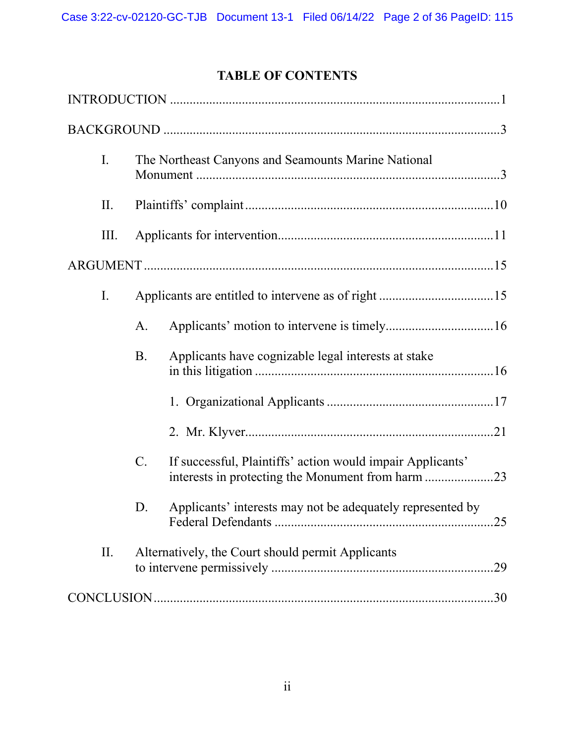# **TABLE OF CONTENTS**

| I.   |                 | The Northeast Canyons and Seamounts Marine National        |
|------|-----------------|------------------------------------------------------------|
| Π.   |                 |                                                            |
| III. |                 |                                                            |
|      |                 |                                                            |
| I.   |                 |                                                            |
|      | A.              |                                                            |
|      | <b>B.</b>       | Applicants have cognizable legal interests at stake        |
|      |                 |                                                            |
|      |                 |                                                            |
|      | $\mathcal{C}$ . | If successful, Plaintiffs' action would impair Applicants' |
|      | D.              | Applicants' interests may not be adequately represented by |
| II.  |                 | Alternatively, the Court should permit Applicants          |
|      |                 | .30                                                        |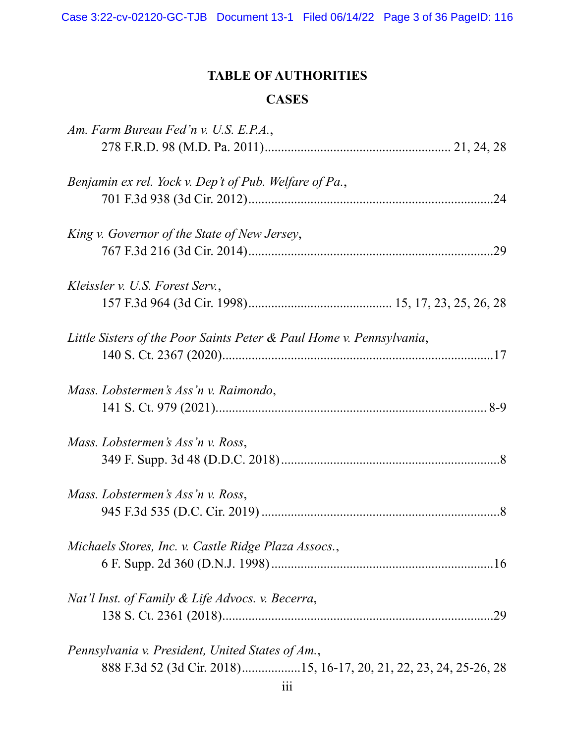# **TABLE OF AUTHORITIES**

# **CASES**

| Am. Farm Bureau Fed'n v. U.S. E.P.A.,                                |  |
|----------------------------------------------------------------------|--|
|                                                                      |  |
| Benjamin ex rel. Yock v. Dep't of Pub. Welfare of Pa.,               |  |
|                                                                      |  |
| King v. Governor of the State of New Jersey,                         |  |
|                                                                      |  |
| Kleissler v. U.S. Forest Serv.,                                      |  |
|                                                                      |  |
| Little Sisters of the Poor Saints Peter & Paul Home v. Pennsylvania, |  |
|                                                                      |  |
| Mass. Lobstermen's Ass'n v. Raimondo,                                |  |
|                                                                      |  |
| Mass. Lobstermen's Ass'n v. Ross,                                    |  |
|                                                                      |  |
| Mass. Lobstermen's Ass'n v. Ross,                                    |  |
|                                                                      |  |
| Michaels Stores, Inc. v. Castle Ridge Plaza Assocs.,                 |  |
|                                                                      |  |
| Nat'l Inst. of Family & Life Advocs. v. Becerra,                     |  |
|                                                                      |  |
| Pennsylvania v. President, United States of Am.,                     |  |
| 888 F.3d 52 (3d Cir. 2018)15, 16-17, 20, 21, 22, 23, 24, 25-26, 28   |  |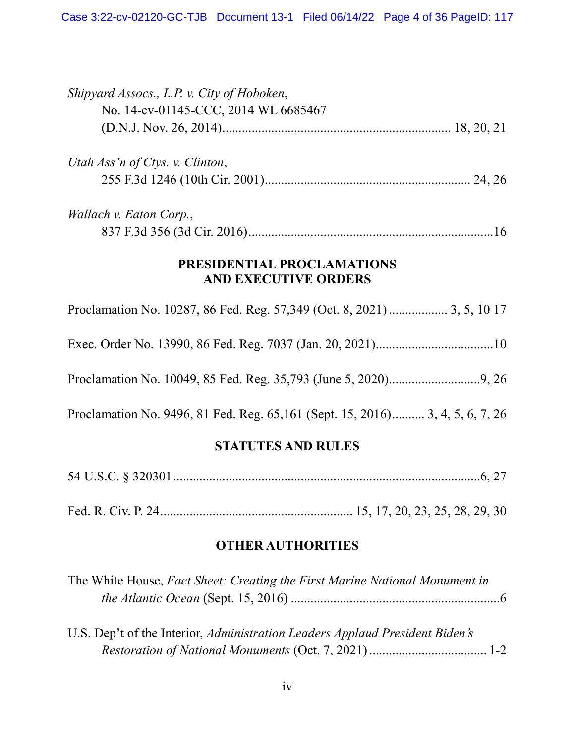| Shipyard Assocs., L.P. v. City of Hoboken,                                     |
|--------------------------------------------------------------------------------|
| No. 14-cv-01145-CCC, 2014 WL 6685467                                           |
|                                                                                |
| Utah Ass'n of Ctys. v. Clinton,                                                |
|                                                                                |
| Wallach v. Eaton Corp.,                                                        |
|                                                                                |
| PRESIDENTIAL PROCLAMATIONS<br><b>AND EXECUTIVE ORDERS</b>                      |
| Proclamation No. 10287, 86 Fed. Reg. 57,349 (Oct. 8, 2021)  3, 5, 10 17        |
|                                                                                |
|                                                                                |
| Proclamation No. 9496, 81 Fed. Reg. 65, 161 (Sept. 15, 2016) 3, 4, 5, 6, 7, 26 |
|                                                                                |

## **STATUTES AND RULES**

Fed. R. Civ. P. 24........................................................... 15, 17, 20, 23, 25, 28, 29, 30

# **OTHER AUTHORITIES**

| The White House, Fact Sheet: Creating the First Marine National Monument in |  |
|-----------------------------------------------------------------------------|--|
|                                                                             |  |

| U.S. Dep't of the Interior, Administration Leaders Applaud President Biden's |  |
|------------------------------------------------------------------------------|--|
|                                                                              |  |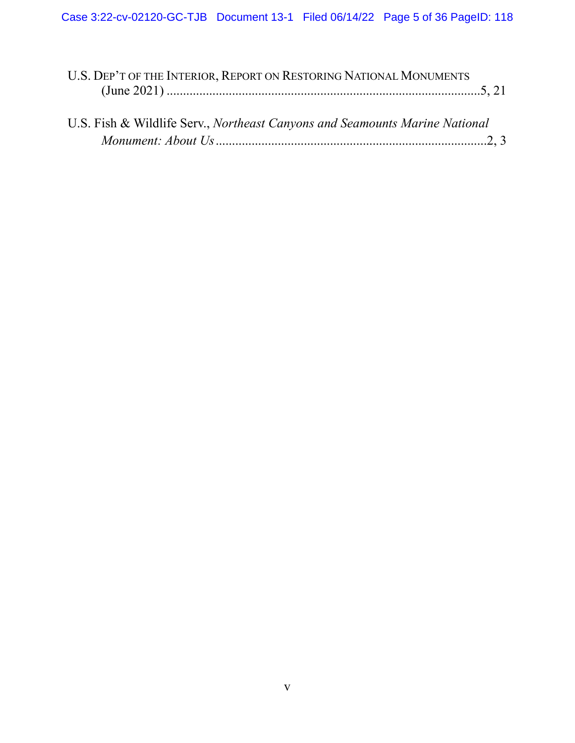| U.S. DEP'T OF THE INTERIOR, REPORT ON RESTORING NATIONAL MONUMENTS          |  |
|-----------------------------------------------------------------------------|--|
|                                                                             |  |
| U.S. Fish & Wildlife Serv., Northeast Canyons and Seamounts Marine National |  |
|                                                                             |  |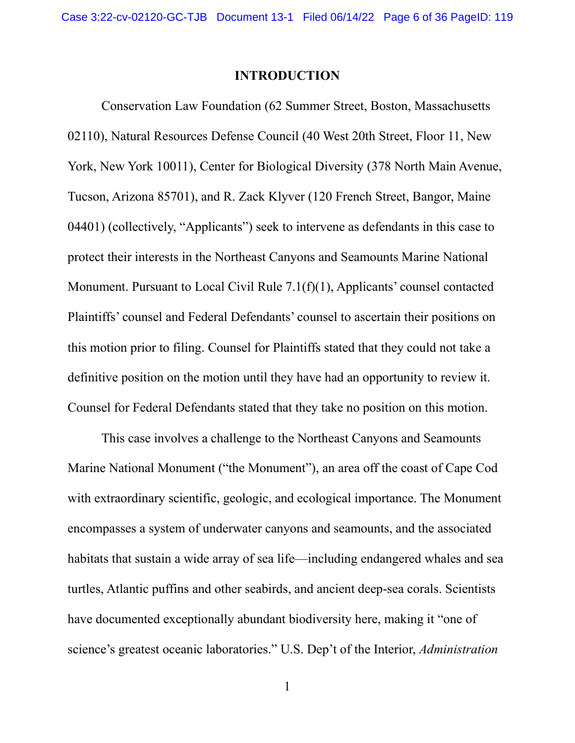### **INTRODUCTION**

Conservation Law Foundation (62 Summer Street, Boston, Massachusetts 02110), Natural Resources Defense Council (40 West 20th Street, Floor 11, New York, New York 10011), Center for Biological Diversity (378 North Main Avenue, Tucson, Arizona 85701), and R. Zack Klyver (120 French Street, Bangor, Maine 04401) (collectively, "Applicants") seek to intervene as defendants in this case to protect their interests in the Northeast Canyons and Seamounts Marine National Monument. Pursuant to Local Civil Rule 7.1(f)(1), Applicants' counsel contacted Plaintiffs' counsel and Federal Defendants' counsel to ascertain their positions on this motion prior to filing. Counsel for Plaintiffs stated that they could not take a definitive position on the motion until they have had an opportunity to review it. Counsel for Federal Defendants stated that they take no position on this motion.

This case involves a challenge to the Northeast Canyons and Seamounts Marine National Monument ("the Monument"), an area off the coast of Cape Cod with extraordinary scientific, geologic, and ecological importance. The Monument encompasses a system of underwater canyons and seamounts, and the associated habitats that sustain a wide array of sea life—including endangered whales and sea turtles, Atlantic puffins and other seabirds, and ancient deep-sea corals. Scientists have documented exceptionally abundant biodiversity here, making it "one of science's greatest oceanic laboratories." U.S. Dep't of the Interior, *Administration* 

1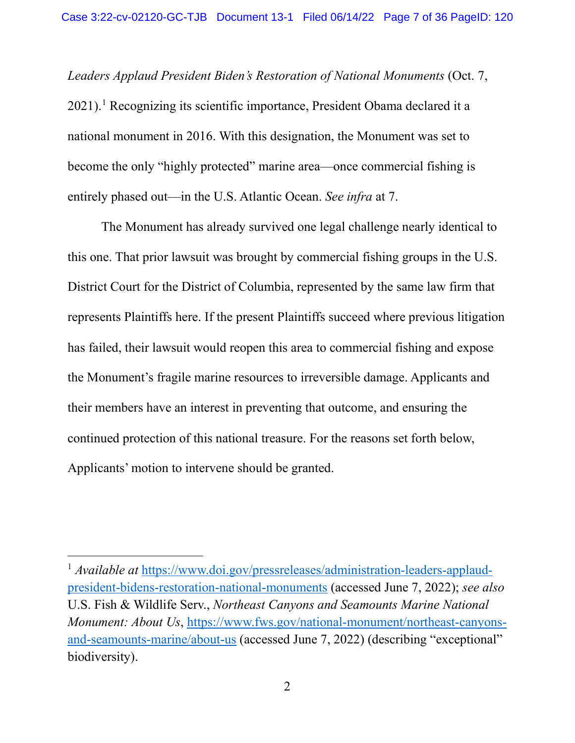*Leaders Applaud President Biden's Restoration of National Monuments* (Oct. 7, 2021). <sup>1</sup> Recognizing its scientific importance, President Obama declared it a national monument in 2016. With this designation, the Monument was set to become the only "highly protected" marine area—once commercial fishing is entirely phased out—in the U.S. Atlantic Ocean. *See infra* at 7.

The Monument has already survived one legal challenge nearly identical to this one. That prior lawsuit was brought by commercial fishing groups in the U.S. District Court for the District of Columbia, represented by the same law firm that represents Plaintiffs here. If the present Plaintiffs succeed where previous litigation has failed, their lawsuit would reopen this area to commercial fishing and expose the Monument's fragile marine resources to irreversible damage. Applicants and their members have an interest in preventing that outcome, and ensuring the continued protection of this national treasure. For the reasons set forth below, Applicants' motion to intervene should be granted.

<sup>&</sup>lt;sup>1</sup> *Available at* https://www.doi.gov/pressreleases/administration-leaders-applaudpresident-bidens-restoration-national-monuments (accessed June 7, 2022); *see also*  U.S. Fish & Wildlife Serv., *Northeast Canyons and Seamounts Marine National Monument: About Us*, https://www.fws.gov/national-monument/northeast-canyonsand-seamounts-marine/about-us (accessed June 7, 2022) (describing "exceptional" biodiversity).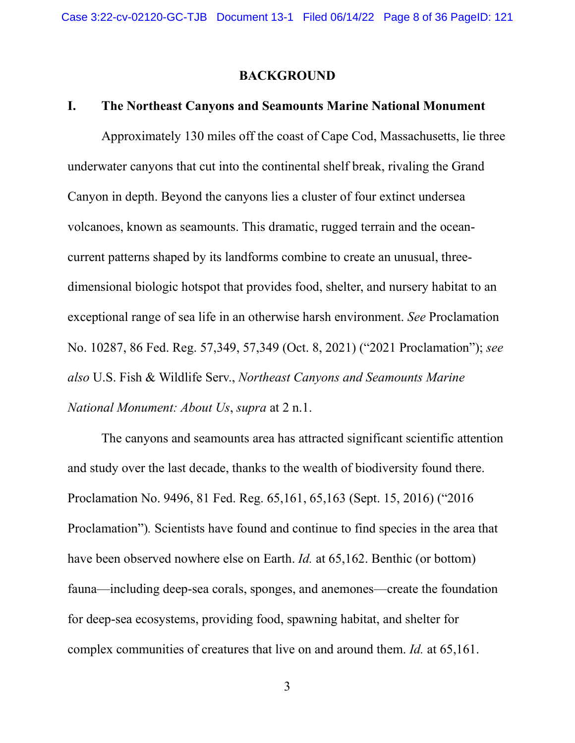#### **BACKGROUND**

### **I. The Northeast Canyons and Seamounts Marine National Monument**

Approximately 130 miles off the coast of Cape Cod, Massachusetts, lie three underwater canyons that cut into the continental shelf break, rivaling the Grand Canyon in depth. Beyond the canyons lies a cluster of four extinct undersea volcanoes, known as seamounts. This dramatic, rugged terrain and the oceancurrent patterns shaped by its landforms combine to create an unusual, threedimensional biologic hotspot that provides food, shelter, and nursery habitat to an exceptional range of sea life in an otherwise harsh environment. *See* Proclamation No. 10287, 86 Fed. Reg. 57,349, 57,349 (Oct. 8, 2021) ("2021 Proclamation"); *see also* U.S. Fish & Wildlife Serv., *Northeast Canyons and Seamounts Marine National Monument: About Us*, *supra* at 2 n.1.

The canyons and seamounts area has attracted significant scientific attention and study over the last decade, thanks to the wealth of biodiversity found there. Proclamation No. 9496, 81 Fed. Reg. 65,161, 65,163 (Sept. 15, 2016) ("2016 Proclamation")*.* Scientists have found and continue to find species in the area that have been observed nowhere else on Earth. *Id.* at 65,162. Benthic (or bottom) fauna—including deep-sea corals, sponges, and anemones—create the foundation for deep-sea ecosystems, providing food, spawning habitat, and shelter for complex communities of creatures that live on and around them. *Id.* at 65,161.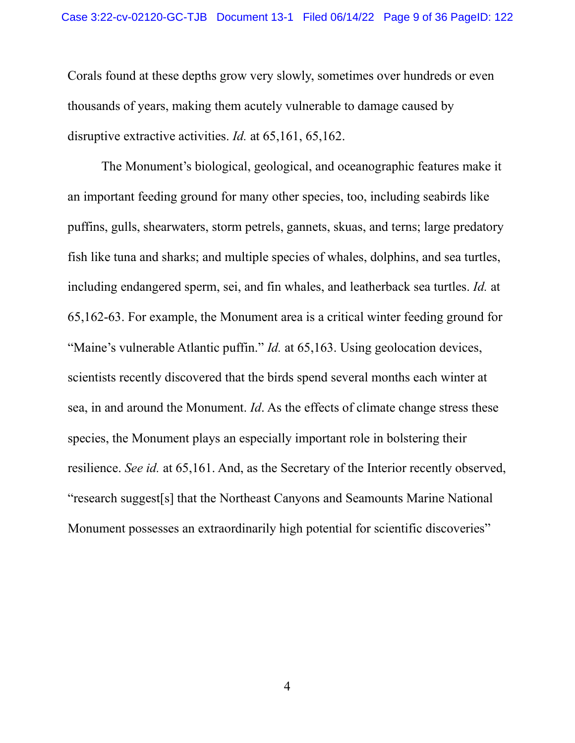Corals found at these depths grow very slowly, sometimes over hundreds or even thousands of years, making them acutely vulnerable to damage caused by disruptive extractive activities. *Id.* at 65,161, 65,162.

The Monument's biological, geological, and oceanographic features make it an important feeding ground for many other species, too, including seabirds like puffins, gulls, shearwaters, storm petrels, gannets, skuas, and terns; large predatory fish like tuna and sharks; and multiple species of whales, dolphins, and sea turtles, including endangered sperm, sei, and fin whales, and leatherback sea turtles. *Id.* at 65,162-63. For example, the Monument area is a critical winter feeding ground for "Maine's vulnerable Atlantic puffin." *Id.* at 65,163. Using geolocation devices, scientists recently discovered that the birds spend several months each winter at sea, in and around the Monument. *Id*. As the effects of climate change stress these species, the Monument plays an especially important role in bolstering their resilience. *See id.* at 65,161. And, as the Secretary of the Interior recently observed, "research suggest[s] that the Northeast Canyons and Seamounts Marine National Monument possesses an extraordinarily high potential for scientific discoveries"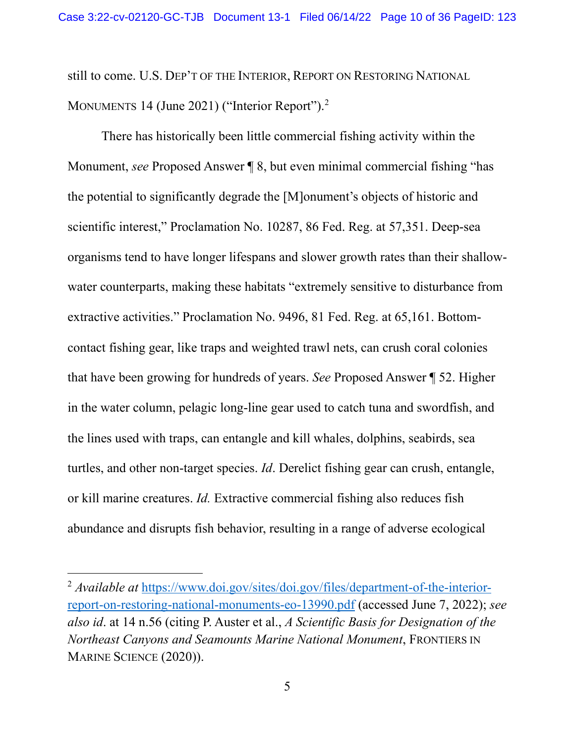still to come. U.S. DEP'T OF THE INTERIOR, REPORT ON RESTORING NATIONAL MONUMENTS 14 (June 2021) ("Interior Report").<sup>2</sup>

There has historically been little commercial fishing activity within the Monument, *see* Proposed Answer ¶ 8, but even minimal commercial fishing "has the potential to significantly degrade the [M]onument's objects of historic and scientific interest," Proclamation No. 10287, 86 Fed. Reg. at 57,351. Deep-sea organisms tend to have longer lifespans and slower growth rates than their shallowwater counterparts, making these habitats "extremely sensitive to disturbance from extractive activities." Proclamation No. 9496, 81 Fed. Reg. at 65,161. Bottomcontact fishing gear, like traps and weighted trawl nets, can crush coral colonies that have been growing for hundreds of years. *See* Proposed Answer ¶ 52. Higher in the water column, pelagic long-line gear used to catch tuna and swordfish, and the lines used with traps, can entangle and kill whales, dolphins, seabirds, sea turtles, and other non-target species. *Id*. Derelict fishing gear can crush, entangle, or kill marine creatures. *Id.* Extractive commercial fishing also reduces fish abundance and disrupts fish behavior, resulting in a range of adverse ecological

<sup>2</sup> *Available at* https://www.doi.gov/sites/doi.gov/files/department-of-the-interiorreport-on-restoring-national-monuments-eo-13990.pdf (accessed June 7, 2022); *see also id*. at 14 n.56 (citing P. Auster et al., *A Scientific Basis for Designation of the Northeast Canyons and Seamounts Marine National Monument*, FRONTIERS IN MARINE SCIENCE (2020)).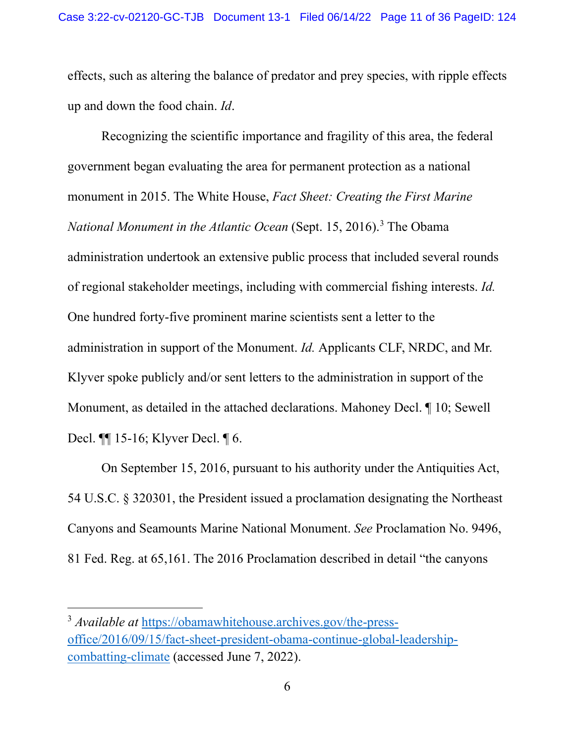effects, such as altering the balance of predator and prey species, with ripple effects up and down the food chain. *Id*.

Recognizing the scientific importance and fragility of this area, the federal government began evaluating the area for permanent protection as a national monument in 2015. The White House, *Fact Sheet: Creating the First Marine National Monument in the Atlantic Ocean* (Sept. 15, 2016). <sup>3</sup> The Obama administration undertook an extensive public process that included several rounds of regional stakeholder meetings, including with commercial fishing interests. *Id.*  One hundred forty-five prominent marine scientists sent a letter to the administration in support of the Monument. *Id.* Applicants CLF, NRDC, and Mr. Klyver spoke publicly and/or sent letters to the administration in support of the Monument, as detailed in the attached declarations. Mahoney Decl. ¶ 10; Sewell Decl. ¶¶ 15-16; Klyver Decl. ¶ 6.

On September 15, 2016, pursuant to his authority under the Antiquities Act, 54 U.S.C. § 320301, the President issued a proclamation designating the Northeast Canyons and Seamounts Marine National Monument. *See* Proclamation No. 9496, 81 Fed. Reg. at 65,161. The 2016 Proclamation described in detail "the canyons

<sup>3</sup> *Available at* https://obamawhitehouse.archives.gov/the-pressoffice/2016/09/15/fact-sheet-president-obama-continue-global-leadershipcombatting-climate (accessed June 7, 2022).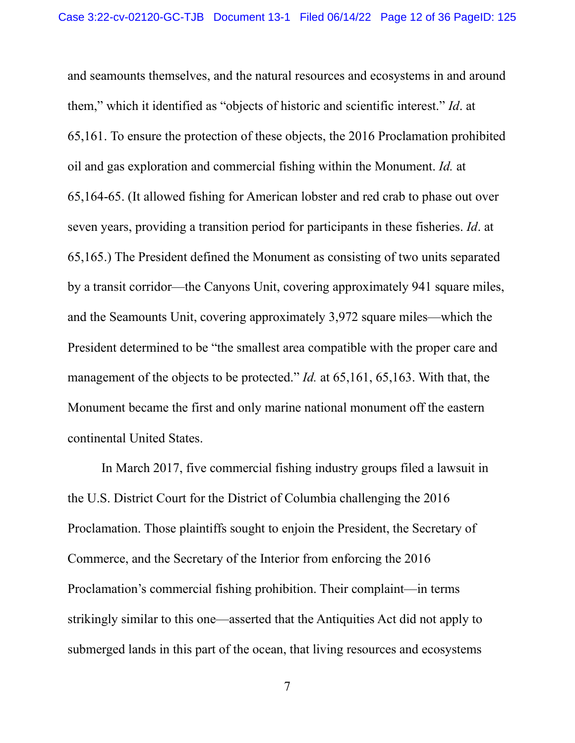and seamounts themselves, and the natural resources and ecosystems in and around them," which it identified as "objects of historic and scientific interest." *Id*. at 65,161. To ensure the protection of these objects, the 2016 Proclamation prohibited oil and gas exploration and commercial fishing within the Monument. *Id.* at 65,164-65. (It allowed fishing for American lobster and red crab to phase out over seven years, providing a transition period for participants in these fisheries. *Id*. at 65,165.) The President defined the Monument as consisting of two units separated by a transit corridor—the Canyons Unit, covering approximately 941 square miles, and the Seamounts Unit, covering approximately 3,972 square miles—which the President determined to be "the smallest area compatible with the proper care and management of the objects to be protected." *Id.* at 65,161, 65,163. With that, the Monument became the first and only marine national monument off the eastern continental United States.

In March 2017, five commercial fishing industry groups filed a lawsuit in the U.S. District Court for the District of Columbia challenging the 2016 Proclamation. Those plaintiffs sought to enjoin the President, the Secretary of Commerce, and the Secretary of the Interior from enforcing the 2016 Proclamation's commercial fishing prohibition. Their complaint—in terms strikingly similar to this one—asserted that the Antiquities Act did not apply to submerged lands in this part of the ocean, that living resources and ecosystems

7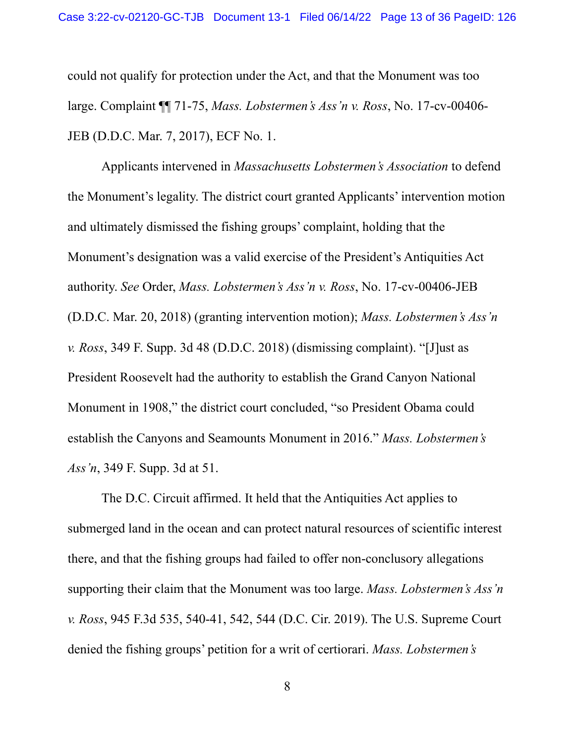could not qualify for protection under the Act, and that the Monument was too large. Complaint ¶¶ 71-75, *Mass. Lobstermen's Ass'n v. Ross*, No. 17-cv-00406- JEB (D.D.C. Mar. 7, 2017), ECF No. 1.

Applicants intervened in *Massachusetts Lobstermen's Association* to defend the Monument's legality. The district court granted Applicants' intervention motion and ultimately dismissed the fishing groups' complaint, holding that the Monument's designation was a valid exercise of the President's Antiquities Act authority. *See* Order, *Mass. Lobstermen's Ass'n v. Ross*, No. 17-cv-00406-JEB (D.D.C. Mar. 20, 2018) (granting intervention motion); *Mass. Lobstermen's Ass'n v. Ross*, 349 F. Supp. 3d 48 (D.D.C. 2018) (dismissing complaint). "[J]ust as President Roosevelt had the authority to establish the Grand Canyon National Monument in 1908," the district court concluded, "so President Obama could establish the Canyons and Seamounts Monument in 2016." *Mass. Lobstermen's Ass'n*, 349 F. Supp. 3d at 51.

The D.C. Circuit affirmed. It held that the Antiquities Act applies to submerged land in the ocean and can protect natural resources of scientific interest there, and that the fishing groups had failed to offer non-conclusory allegations supporting their claim that the Monument was too large. *Mass. Lobstermen's Ass'n v. Ross*, 945 F.3d 535, 540-41, 542, 544 (D.C. Cir. 2019). The U.S. Supreme Court denied the fishing groups' petition for a writ of certiorari. *Mass. Lobstermen's*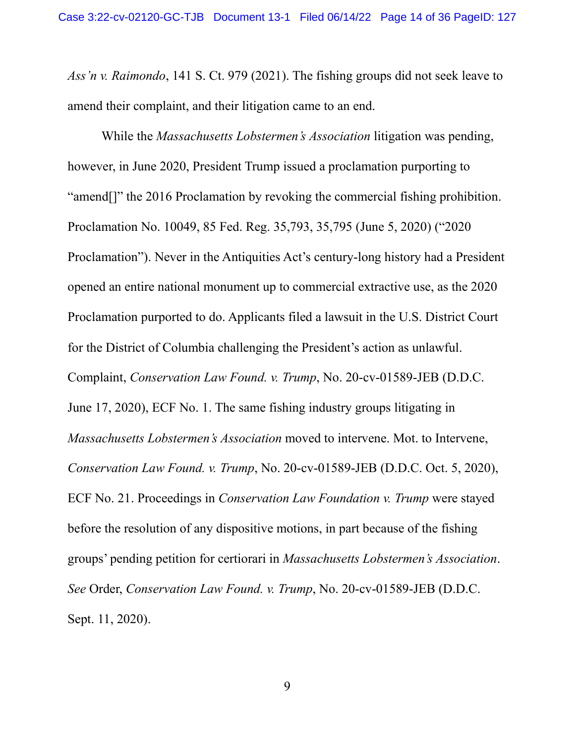*Ass'n v. Raimondo*, 141 S. Ct. 979 (2021). The fishing groups did not seek leave to amend their complaint, and their litigation came to an end.

While the *Massachusetts Lobstermen's Association* litigation was pending, however, in June 2020, President Trump issued a proclamation purporting to "amend[]" the 2016 Proclamation by revoking the commercial fishing prohibition. Proclamation No. 10049, 85 Fed. Reg. 35,793, 35,795 (June 5, 2020) ("2020 Proclamation"). Never in the Antiquities Act's century-long history had a President opened an entire national monument up to commercial extractive use, as the 2020 Proclamation purported to do. Applicants filed a lawsuit in the U.S. District Court for the District of Columbia challenging the President's action as unlawful. Complaint, *Conservation Law Found. v. Trump*, No. 20-cv-01589-JEB (D.D.C. June 17, 2020), ECF No. 1. The same fishing industry groups litigating in *Massachusetts Lobstermen's Association* moved to intervene. Mot. to Intervene, *Conservation Law Found. v. Trump*, No. 20-cv-01589-JEB (D.D.C. Oct. 5, 2020), ECF No. 21. Proceedings in *Conservation Law Foundation v. Trump* were stayed before the resolution of any dispositive motions, in part because of the fishing groups' pending petition for certiorari in *Massachusetts Lobstermen's Association*. *See* Order, *Conservation Law Found. v. Trump*, No. 20-cv-01589-JEB (D.D.C. Sept. 11, 2020).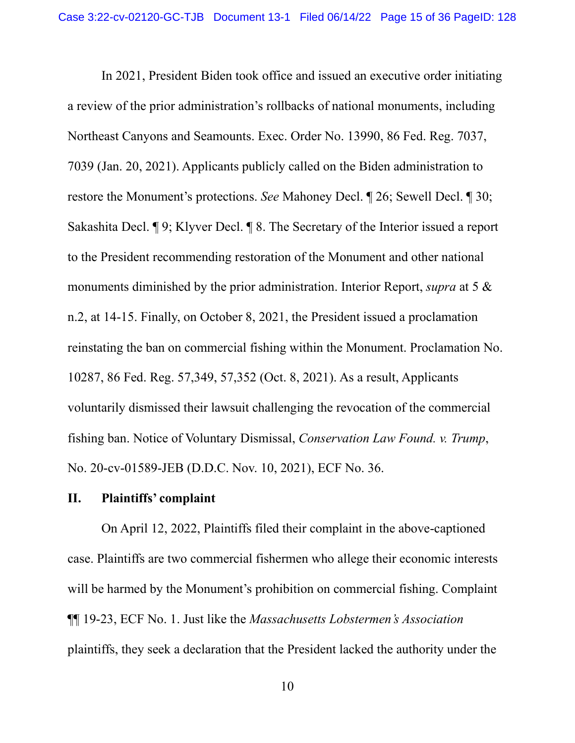In 2021, President Biden took office and issued an executive order initiating a review of the prior administration's rollbacks of national monuments, including Northeast Canyons and Seamounts. Exec. Order No. 13990, 86 Fed. Reg. 7037, 7039 (Jan. 20, 2021). Applicants publicly called on the Biden administration to restore the Monument's protections. *See* Mahoney Decl. ¶ 26; Sewell Decl. ¶ 30; Sakashita Decl. ¶ 9; Klyver Decl. ¶ 8. The Secretary of the Interior issued a report to the President recommending restoration of the Monument and other national monuments diminished by the prior administration. Interior Report, *supra* at 5 & n.2, at 14-15. Finally, on October 8, 2021, the President issued a proclamation reinstating the ban on commercial fishing within the Monument. Proclamation No. 10287, 86 Fed. Reg. 57,349, 57,352 (Oct. 8, 2021). As a result, Applicants voluntarily dismissed their lawsuit challenging the revocation of the commercial fishing ban. Notice of Voluntary Dismissal, *Conservation Law Found. v. Trump*, No. 20-cv-01589-JEB (D.D.C. Nov. 10, 2021), ECF No. 36.

#### **II. Plaintiffs' complaint**

On April 12, 2022, Plaintiffs filed their complaint in the above-captioned case. Plaintiffs are two commercial fishermen who allege their economic interests will be harmed by the Monument's prohibition on commercial fishing. Complaint ¶¶ 19-23, ECF No. 1. Just like the *Massachusetts Lobstermen's Association*  plaintiffs, they seek a declaration that the President lacked the authority under the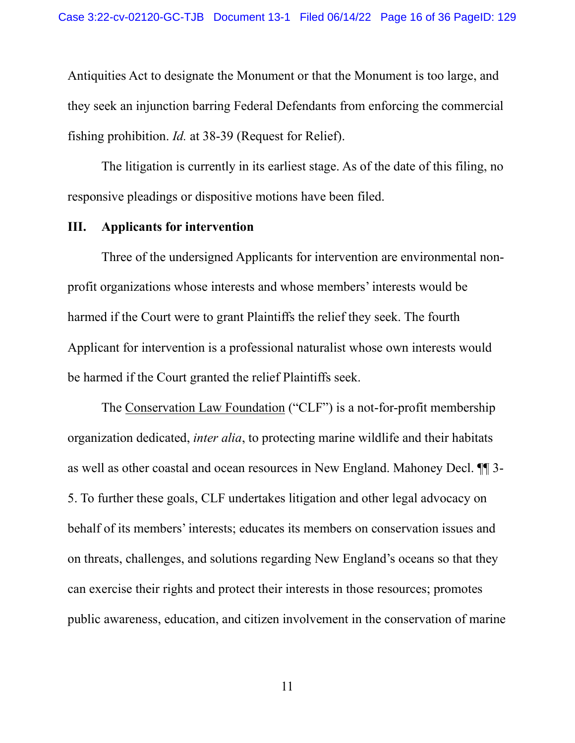Antiquities Act to designate the Monument or that the Monument is too large, and they seek an injunction barring Federal Defendants from enforcing the commercial fishing prohibition. *Id.* at 38-39 (Request for Relief).

The litigation is currently in its earliest stage. As of the date of this filing, no responsive pleadings or dispositive motions have been filed.

#### **III. Applicants for intervention**

Three of the undersigned Applicants for intervention are environmental nonprofit organizations whose interests and whose members' interests would be harmed if the Court were to grant Plaintiffs the relief they seek. The fourth Applicant for intervention is a professional naturalist whose own interests would be harmed if the Court granted the relief Plaintiffs seek.

The Conservation Law Foundation ("CLF") is a not-for-profit membership organization dedicated, *inter alia*, to protecting marine wildlife and their habitats as well as other coastal and ocean resources in New England. Mahoney Decl. ¶¶ 3- 5. To further these goals, CLF undertakes litigation and other legal advocacy on behalf of its members' interests; educates its members on conservation issues and on threats, challenges, and solutions regarding New England's oceans so that they can exercise their rights and protect their interests in those resources; promotes public awareness, education, and citizen involvement in the conservation of marine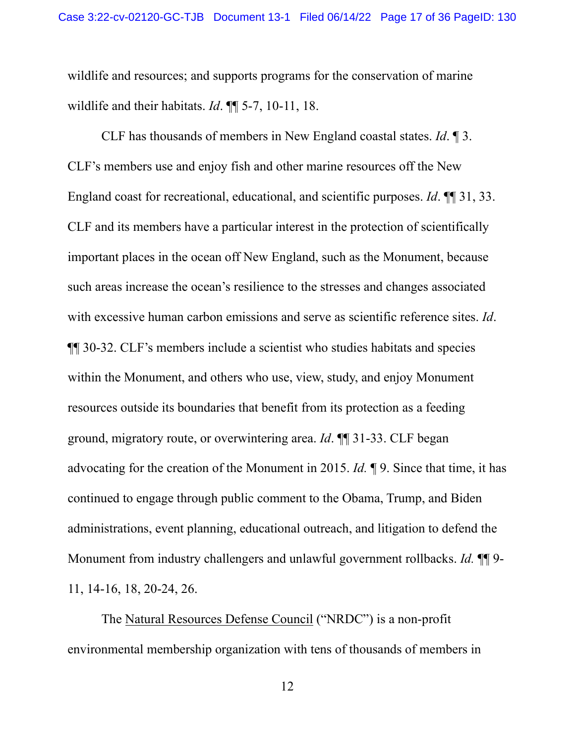wildlife and resources; and supports programs for the conservation of marine wildlife and their habitats. *Id*. ¶¶ 5-7, 10-11, 18.

CLF has thousands of members in New England coastal states. *Id*. ¶ 3. CLF's members use and enjoy fish and other marine resources off the New England coast for recreational, educational, and scientific purposes. *Id*. ¶¶ 31, 33. CLF and its members have a particular interest in the protection of scientifically important places in the ocean off New England, such as the Monument, because such areas increase the ocean's resilience to the stresses and changes associated with excessive human carbon emissions and serve as scientific reference sites. *Id*. ¶¶ 30-32. CLF's members include a scientist who studies habitats and species within the Monument, and others who use, view, study, and enjoy Monument resources outside its boundaries that benefit from its protection as a feeding ground, migratory route, or overwintering area. *Id*. ¶¶ 31-33. CLF began advocating for the creation of the Monument in 2015. *Id.* ¶ 9. Since that time, it has continued to engage through public comment to the Obama, Trump, and Biden administrations, event planning, educational outreach, and litigation to defend the Monument from industry challengers and unlawful government rollbacks. *Id.*  $\P\P$ 9-11, 14-16, 18, 20-24, 26.

The Natural Resources Defense Council ("NRDC") is a non-profit environmental membership organization with tens of thousands of members in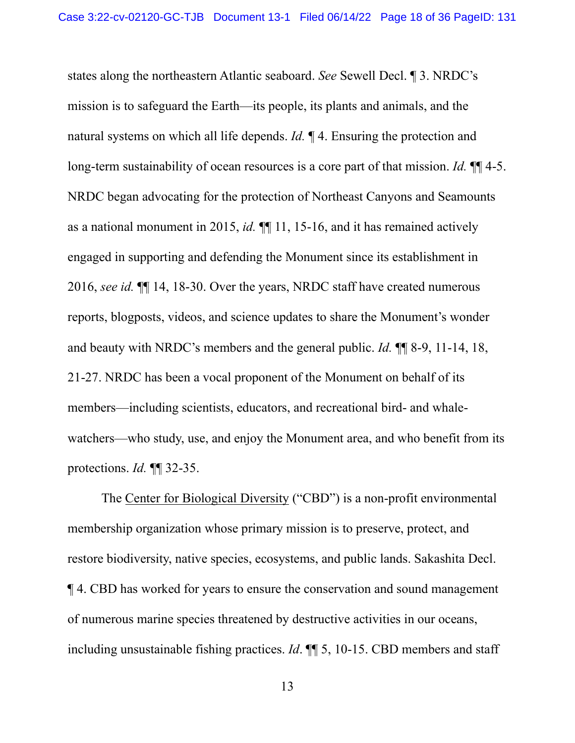states along the northeastern Atlantic seaboard. *See* Sewell Decl. ¶ 3. NRDC's mission is to safeguard the Earth—its people, its plants and animals, and the natural systems on which all life depends. *Id.* ¶ 4. Ensuring the protection and long-term sustainability of ocean resources is a core part of that mission. *Id.*  $\P\P$  4-5. NRDC began advocating for the protection of Northeast Canyons and Seamounts as a national monument in 2015, *id.* ¶¶ 11, 15-16, and it has remained actively engaged in supporting and defending the Monument since its establishment in 2016, *see id.* ¶¶ 14, 18-30. Over the years, NRDC staff have created numerous reports, blogposts, videos, and science updates to share the Monument's wonder and beauty with NRDC's members and the general public. *Id.* ¶¶ 8-9, 11-14, 18, 21-27. NRDC has been a vocal proponent of the Monument on behalf of its members—including scientists, educators, and recreational bird- and whalewatchers—who study, use, and enjoy the Monument area, and who benefit from its protections. *Id.* ¶¶ 32-35.

The Center for Biological Diversity ("CBD") is a non-profit environmental membership organization whose primary mission is to preserve, protect, and restore biodiversity, native species, ecosystems, and public lands. Sakashita Decl. ¶ 4. CBD has worked for years to ensure the conservation and sound management of numerous marine species threatened by destructive activities in our oceans, including unsustainable fishing practices. *Id*. ¶¶ 5, 10-15. CBD members and staff

13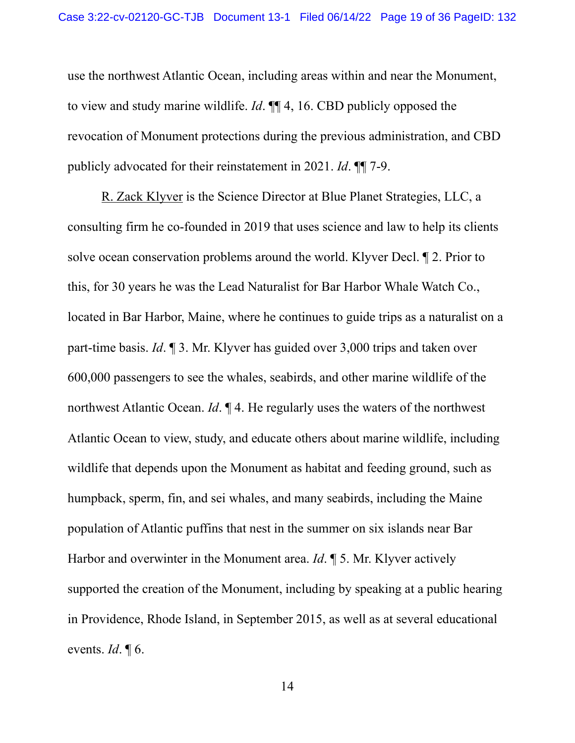use the northwest Atlantic Ocean, including areas within and near the Monument, to view and study marine wildlife. *Id*. ¶¶ 4, 16. CBD publicly opposed the revocation of Monument protections during the previous administration, and CBD publicly advocated for their reinstatement in 2021. *Id*. ¶¶ 7-9.

R. Zack Klyver is the Science Director at Blue Planet Strategies, LLC, a consulting firm he co-founded in 2019 that uses science and law to help its clients solve ocean conservation problems around the world. Klyver Decl. ¶ 2. Prior to this, for 30 years he was the Lead Naturalist for Bar Harbor Whale Watch Co., located in Bar Harbor, Maine, where he continues to guide trips as a naturalist on a part-time basis. *Id*. ¶ 3. Mr. Klyver has guided over 3,000 trips and taken over 600,000 passengers to see the whales, seabirds, and other marine wildlife of the northwest Atlantic Ocean. *Id*. ¶ 4. He regularly uses the waters of the northwest Atlantic Ocean to view, study, and educate others about marine wildlife, including wildlife that depends upon the Monument as habitat and feeding ground, such as humpback, sperm, fin, and sei whales, and many seabirds, including the Maine population of Atlantic puffins that nest in the summer on six islands near Bar Harbor and overwinter in the Monument area. *Id*. ¶ 5. Mr. Klyver actively supported the creation of the Monument, including by speaking at a public hearing in Providence, Rhode Island, in September 2015, as well as at several educational events. *Id*. ¶ 6.

14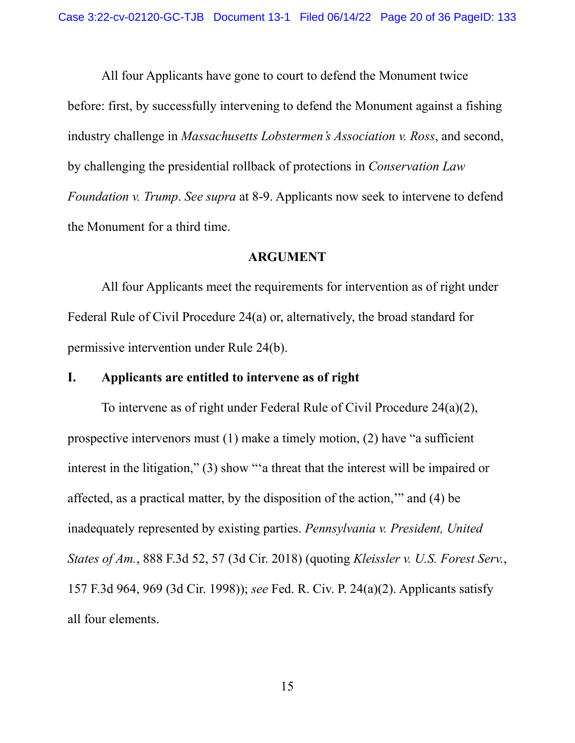All four Applicants have gone to court to defend the Monument twice before: first, by successfully intervening to defend the Monument against a fishing industry challenge in *Massachusetts Lobstermen's Association v. Ross*, and second, by challenging the presidential rollback of protections in *Conservation Law Foundation v. Trump*. *See supra* at 8-9. Applicants now seek to intervene to defend the Monument for a third time.

## **ARGUMENT**

All four Applicants meet the requirements for intervention as of right under Federal Rule of Civil Procedure 24(a) or, alternatively, the broad standard for permissive intervention under Rule 24(b).

## **I. Applicants are entitled to intervene as of right**

To intervene as of right under Federal Rule of Civil Procedure 24(a)(2), prospective intervenors must (1) make a timely motion, (2) have "a sufficient interest in the litigation," (3) show "'a threat that the interest will be impaired or affected, as a practical matter, by the disposition of the action,'" and (4) be inadequately represented by existing parties. *Pennsylvania v. President, United States of Am.*, 888 F.3d 52, 57 (3d Cir. 2018) (quoting *Kleissler v. U.S. Forest Serv.*, 157 F.3d 964, 969 (3d Cir. 1998)); *see* Fed. R. Civ. P. 24(a)(2). Applicants satisfy all four elements.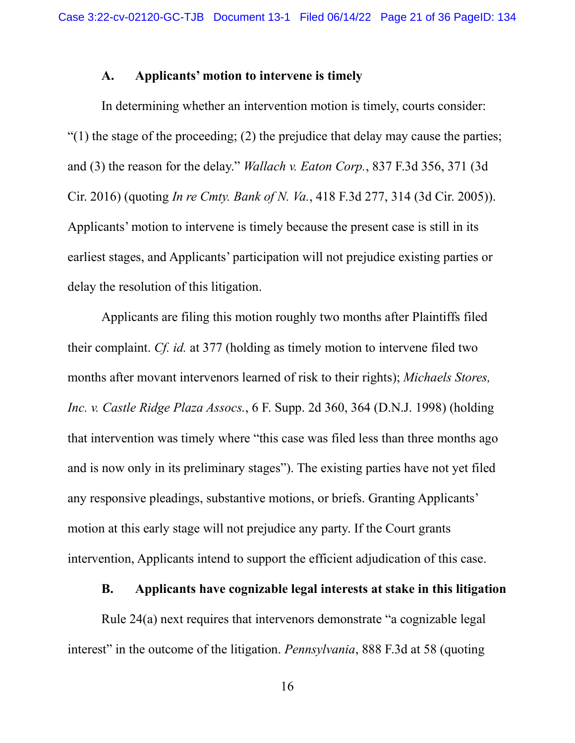## **A. Applicants' motion to intervene is timely**

In determining whether an intervention motion is timely, courts consider: " $(1)$  the stage of the proceeding;  $(2)$  the prejudice that delay may cause the parties; and (3) the reason for the delay." *Wallach v. Eaton Corp.*, 837 F.3d 356, 371 (3d Cir. 2016) (quoting *In re Cmty. Bank of N. Va.*, 418 F.3d 277, 314 (3d Cir. 2005)). Applicants' motion to intervene is timely because the present case is still in its earliest stages, and Applicants' participation will not prejudice existing parties or delay the resolution of this litigation.

Applicants are filing this motion roughly two months after Plaintiffs filed their complaint. *Cf. id.* at 377 (holding as timely motion to intervene filed two months after movant intervenors learned of risk to their rights); *Michaels Stores, Inc. v. Castle Ridge Plaza Assocs.*, 6 F. Supp. 2d 360, 364 (D.N.J. 1998) (holding that intervention was timely where "this case was filed less than three months ago and is now only in its preliminary stages"). The existing parties have not yet filed any responsive pleadings, substantive motions, or briefs. Granting Applicants' motion at this early stage will not prejudice any party. If the Court grants intervention, Applicants intend to support the efficient adjudication of this case.

#### **B. Applicants have cognizable legal interests at stake in this litigation**

Rule 24(a) next requires that intervenors demonstrate "a cognizable legal interest" in the outcome of the litigation. *Pennsylvania*, 888 F.3d at 58 (quoting

16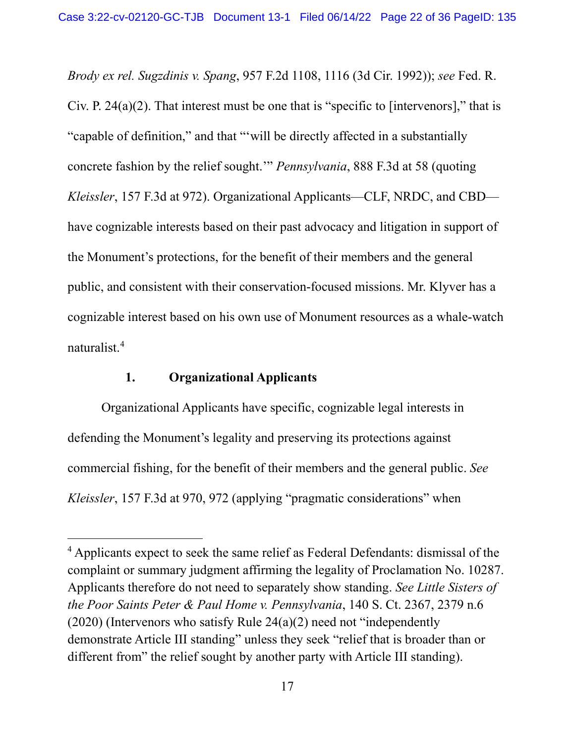*Brody ex rel. Sugzdinis v. Spang*, 957 F.2d 1108, 1116 (3d Cir. 1992)); *see* Fed. R. Civ. P. 24(a)(2). That interest must be one that is "specific to [intervenors]," that is "capable of definition," and that "'will be directly affected in a substantially concrete fashion by the relief sought.'" *Pennsylvania*, 888 F.3d at 58 (quoting *Kleissler*, 157 F.3d at 972). Organizational Applicants—CLF, NRDC, and CBD have cognizable interests based on their past advocacy and litigation in support of the Monument's protections, for the benefit of their members and the general public, and consistent with their conservation-focused missions. Mr. Klyver has a cognizable interest based on his own use of Monument resources as a whale-watch naturalist. 4

# **1. Organizational Applicants**

Organizational Applicants have specific, cognizable legal interests in defending the Monument's legality and preserving its protections against commercial fishing, for the benefit of their members and the general public. *See Kleissler*, 157 F.3d at 970, 972 (applying "pragmatic considerations" when

<sup>&</sup>lt;sup>4</sup> Applicants expect to seek the same relief as Federal Defendants: dismissal of the complaint or summary judgment affirming the legality of Proclamation No. 10287. Applicants therefore do not need to separately show standing. *See Little Sisters of the Poor Saints Peter & Paul Home v. Pennsylvania*, 140 S. Ct. 2367, 2379 n.6 (2020) (Intervenors who satisfy Rule 24(a)(2) need not "independently demonstrate Article III standing" unless they seek "relief that is broader than or different from" the relief sought by another party with Article III standing).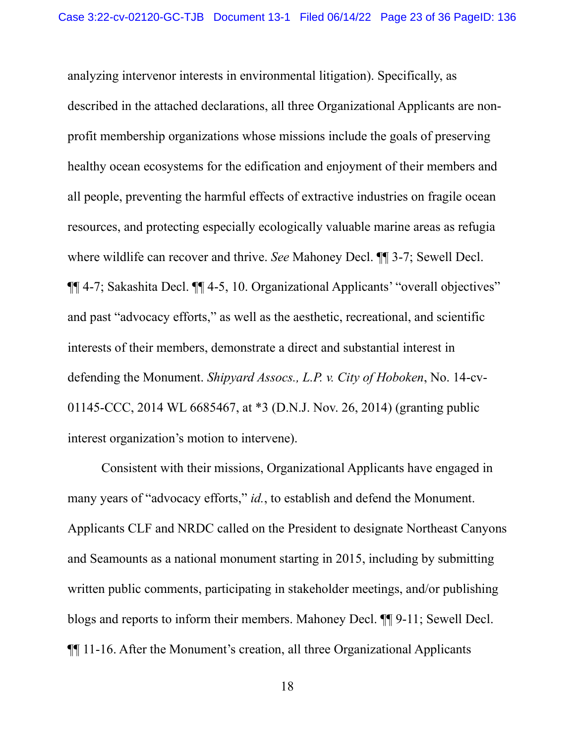analyzing intervenor interests in environmental litigation). Specifically, as described in the attached declarations, all three Organizational Applicants are nonprofit membership organizations whose missions include the goals of preserving healthy ocean ecosystems for the edification and enjoyment of their members and all people, preventing the harmful effects of extractive industries on fragile ocean resources, and protecting especially ecologically valuable marine areas as refugia where wildlife can recover and thrive. *See* Mahoney Decl. ¶¶ 3-7; Sewell Decl. ¶¶ 4-7; Sakashita Decl. ¶¶ 4-5, 10. Organizational Applicants' "overall objectives" and past "advocacy efforts," as well as the aesthetic, recreational, and scientific interests of their members, demonstrate a direct and substantial interest in defending the Monument. *Shipyard Assocs., L.P. v. City of Hoboken*, No. 14-cv-01145-CCC, 2014 WL 6685467, at \*3 (D.N.J. Nov. 26, 2014) (granting public interest organization's motion to intervene).

Consistent with their missions, Organizational Applicants have engaged in many years of "advocacy efforts," *id.*, to establish and defend the Monument. Applicants CLF and NRDC called on the President to designate Northeast Canyons and Seamounts as a national monument starting in 2015, including by submitting written public comments, participating in stakeholder meetings, and/or publishing blogs and reports to inform their members. Mahoney Decl. ¶¶ 9-11; Sewell Decl. ¶¶ 11-16. After the Monument's creation, all three Organizational Applicants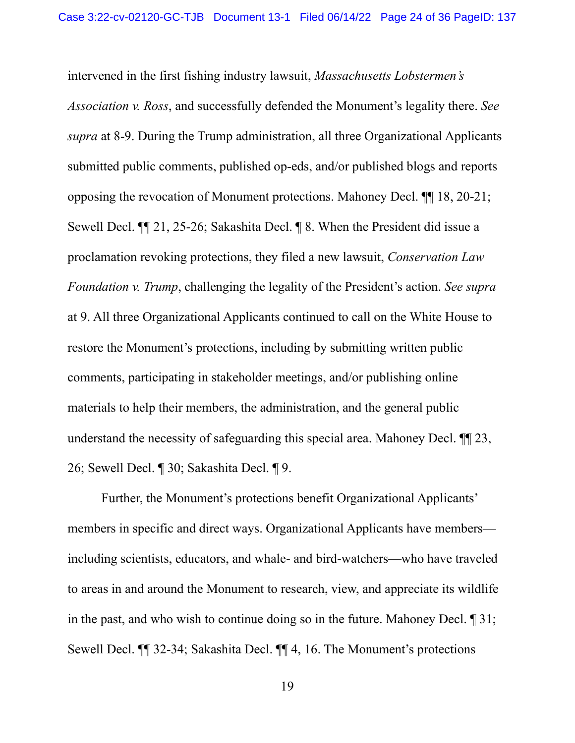intervened in the first fishing industry lawsuit, *Massachusetts Lobstermen's Association v. Ross*, and successfully defended the Monument's legality there. *See supra* at 8-9. During the Trump administration, all three Organizational Applicants submitted public comments, published op-eds, and/or published blogs and reports opposing the revocation of Monument protections. Mahoney Decl. ¶¶ 18, 20-21; Sewell Decl. ¶¶ 21, 25-26; Sakashita Decl. ¶ 8. When the President did issue a proclamation revoking protections, they filed a new lawsuit, *Conservation Law Foundation v. Trump*, challenging the legality of the President's action. *See supra* at 9. All three Organizational Applicants continued to call on the White House to restore the Monument's protections, including by submitting written public comments, participating in stakeholder meetings, and/or publishing online materials to help their members, the administration, and the general public understand the necessity of safeguarding this special area. Mahoney Decl. ¶¶ 23, 26; Sewell Decl. ¶ 30; Sakashita Decl. ¶ 9.

Further, the Monument's protections benefit Organizational Applicants' members in specific and direct ways. Organizational Applicants have members including scientists, educators, and whale- and bird-watchers—who have traveled to areas in and around the Monument to research, view, and appreciate its wildlife in the past, and who wish to continue doing so in the future. Mahoney Decl. ¶ 31; Sewell Decl. ¶¶ 32-34; Sakashita Decl. ¶¶ 4, 16. The Monument's protections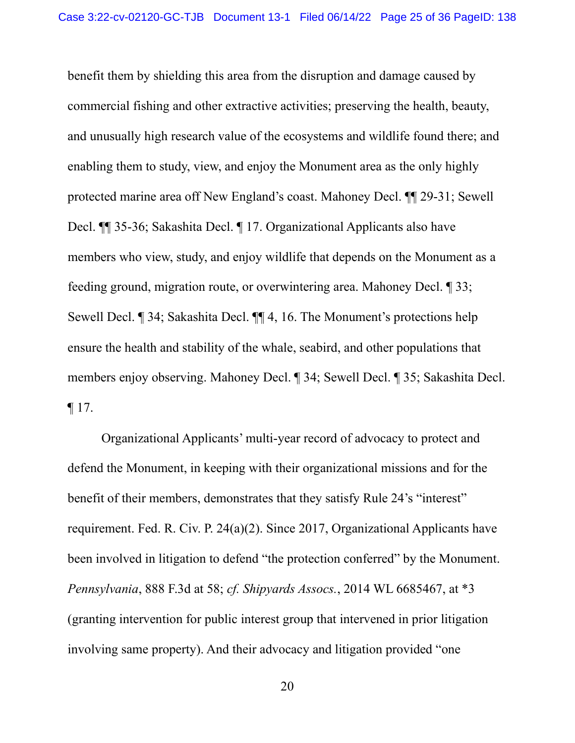benefit them by shielding this area from the disruption and damage caused by commercial fishing and other extractive activities; preserving the health, beauty, and unusually high research value of the ecosystems and wildlife found there; and enabling them to study, view, and enjoy the Monument area as the only highly protected marine area off New England's coast. Mahoney Decl. ¶¶ 29-31; Sewell Decl. ¶¶ 35-36; Sakashita Decl. ¶ 17. Organizational Applicants also have members who view, study, and enjoy wildlife that depends on the Monument as a feeding ground, migration route, or overwintering area. Mahoney Decl. ¶ 33; Sewell Decl. ¶ 34; Sakashita Decl. ¶¶ 4, 16. The Monument's protections help ensure the health and stability of the whale, seabird, and other populations that members enjoy observing. Mahoney Decl. ¶ 34; Sewell Decl. ¶ 35; Sakashita Decl.  $\P$  17.

Organizational Applicants' multi-year record of advocacy to protect and defend the Monument, in keeping with their organizational missions and for the benefit of their members, demonstrates that they satisfy Rule 24's "interest" requirement. Fed. R. Civ. P. 24(a)(2). Since 2017, Organizational Applicants have been involved in litigation to defend "the protection conferred" by the Monument. *Pennsylvania*, 888 F.3d at 58; *cf. Shipyards Assocs.*, 2014 WL 6685467, at \*3 (granting intervention for public interest group that intervened in prior litigation involving same property). And their advocacy and litigation provided "one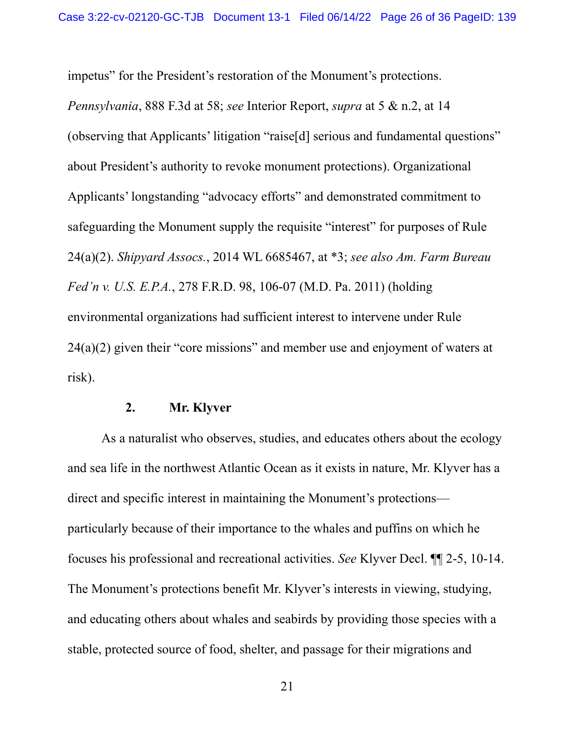impetus" for the President's restoration of the Monument's protections.

*Pennsylvania*, 888 F.3d at 58; *see* Interior Report, *supra* at 5 & n.2, at 14 (observing that Applicants' litigation "raise[d] serious and fundamental questions" about President's authority to revoke monument protections). Organizational Applicants'longstanding "advocacy efforts" and demonstrated commitment to safeguarding the Monument supply the requisite "interest" for purposes of Rule 24(a)(2). *Shipyard Assocs.*, 2014 WL 6685467, at \*3; *see also Am. Farm Bureau Fed'n v. U.S. E.P.A.*, 278 F.R.D. 98, 106-07 (M.D. Pa. 2011) (holding environmental organizations had sufficient interest to intervene under Rule  $24(a)(2)$  given their "core missions" and member use and enjoyment of waters at risk).

#### **2. Mr. Klyver**

As a naturalist who observes, studies, and educates others about the ecology and sea life in the northwest Atlantic Ocean as it exists in nature, Mr. Klyver has a direct and specific interest in maintaining the Monument's protections particularly because of their importance to the whales and puffins on which he focuses his professional and recreational activities. *See* Klyver Decl. ¶¶ 2-5, 10-14. The Monument's protections benefit Mr. Klyver's interests in viewing, studying, and educating others about whales and seabirds by providing those species with a stable, protected source of food, shelter, and passage for their migrations and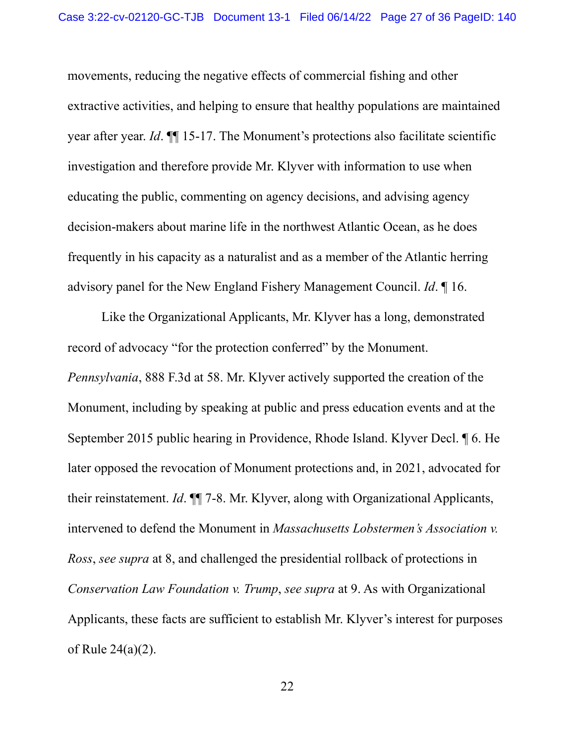movements, reducing the negative effects of commercial fishing and other extractive activities, and helping to ensure that healthy populations are maintained year after year. *Id*. ¶¶ 15-17. The Monument's protections also facilitate scientific investigation and therefore provide Mr. Klyver with information to use when educating the public, commenting on agency decisions, and advising agency decision-makers about marine life in the northwest Atlantic Ocean, as he does frequently in his capacity as a naturalist and as a member of the Atlantic herring advisory panel for the New England Fishery Management Council. *Id*. ¶ 16.

Like the Organizational Applicants, Mr. Klyver has a long, demonstrated record of advocacy "for the protection conferred" by the Monument. *Pennsylvania*, 888 F.3d at 58. Mr. Klyver actively supported the creation of the Monument, including by speaking at public and press education events and at the September 2015 public hearing in Providence, Rhode Island. Klyver Decl. ¶ 6. He later opposed the revocation of Monument protections and, in 2021, advocated for their reinstatement. *Id*. ¶¶ 7-8. Mr. Klyver, along with Organizational Applicants, intervened to defend the Monument in *Massachusetts Lobstermen's Association v. Ross*, *see supra* at 8, and challenged the presidential rollback of protections in *Conservation Law Foundation v. Trump*, *see supra* at 9. As with Organizational Applicants, these facts are sufficient to establish Mr. Klyver's interest for purposes of Rule 24(a)(2).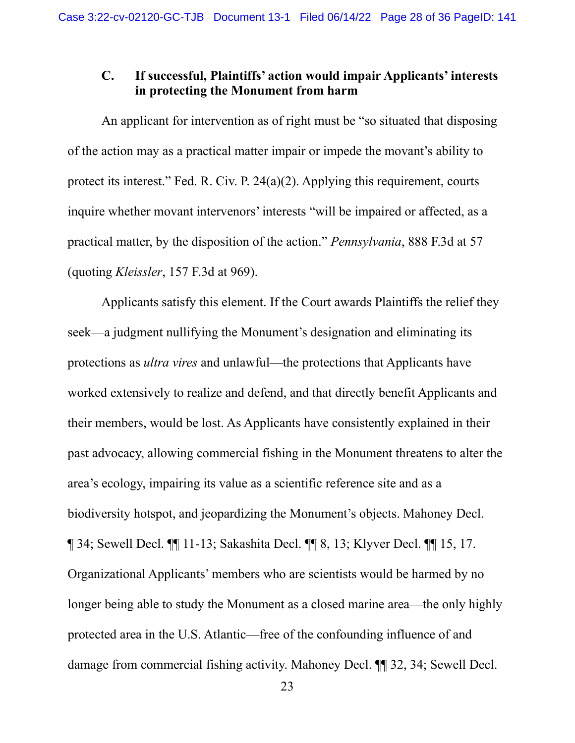## **C. If successful, Plaintiffs' action would impair Applicants' interests in protecting the Monument from harm**

An applicant for intervention as of right must be "so situated that disposing of the action may as a practical matter impair or impede the movant's ability to protect its interest." Fed. R. Civ. P. 24(a)(2). Applying this requirement, courts inquire whether movant intervenors' interests "will be impaired or affected, as a practical matter, by the disposition of the action." *Pennsylvania*, 888 F.3d at 57 (quoting *Kleissler*, 157 F.3d at 969).

Applicants satisfy this element. If the Court awards Plaintiffs the relief they seek—a judgment nullifying the Monument's designation and eliminating its protections as *ultra vires* and unlawful—the protections that Applicants have worked extensively to realize and defend, and that directly benefit Applicants and their members, would be lost. As Applicants have consistently explained in their past advocacy, allowing commercial fishing in the Monument threatens to alter the area's ecology, impairing its value as a scientific reference site and as a biodiversity hotspot, and jeopardizing the Monument's objects. Mahoney Decl. ¶ 34; Sewell Decl. ¶¶ 11-13; Sakashita Decl. ¶¶ 8, 13; Klyver Decl. ¶¶ 15, 17. Organizational Applicants' members who are scientists would be harmed by no longer being able to study the Monument as a closed marine area—the only highly protected area in the U.S. Atlantic—free of the confounding influence of and damage from commercial fishing activity. Mahoney Decl. ¶¶ 32, 34; Sewell Decl.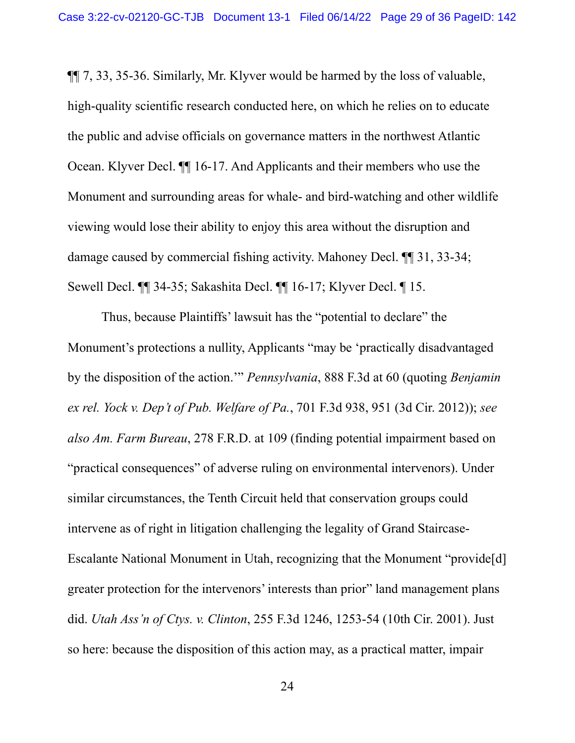¶¶ 7, 33, 35-36. Similarly, Mr. Klyver would be harmed by the loss of valuable, high-quality scientific research conducted here, on which he relies on to educate the public and advise officials on governance matters in the northwest Atlantic Ocean. Klyver Decl. ¶¶ 16-17. And Applicants and their members who use the Monument and surrounding areas for whale- and bird-watching and other wildlife viewing would lose their ability to enjoy this area without the disruption and damage caused by commercial fishing activity. Mahoney Decl. ¶¶ 31, 33-34; Sewell Decl. ¶¶ 34-35; Sakashita Decl. ¶¶ 16-17; Klyver Decl. ¶ 15.

Thus, because Plaintiffs' lawsuit has the "potential to declare" the Monument's protections a nullity, Applicants "may be 'practically disadvantaged by the disposition of the action.'" *Pennsylvania*, 888 F.3d at 60 (quoting *Benjamin ex rel. Yock v. Dep't of Pub. Welfare of Pa.*, 701 F.3d 938, 951 (3d Cir. 2012)); *see also Am. Farm Bureau*, 278 F.R.D. at 109 (finding potential impairment based on "practical consequences" of adverse ruling on environmental intervenors). Under similar circumstances, the Tenth Circuit held that conservation groups could intervene as of right in litigation challenging the legality of Grand Staircase-Escalante National Monument in Utah, recognizing that the Monument "provide[d] greater protection for the intervenors' interests than prior" land management plans did. *Utah Ass'n of Ctys. v. Clinton*, 255 F.3d 1246, 1253-54 (10th Cir. 2001). Just so here: because the disposition of this action may, as a practical matter, impair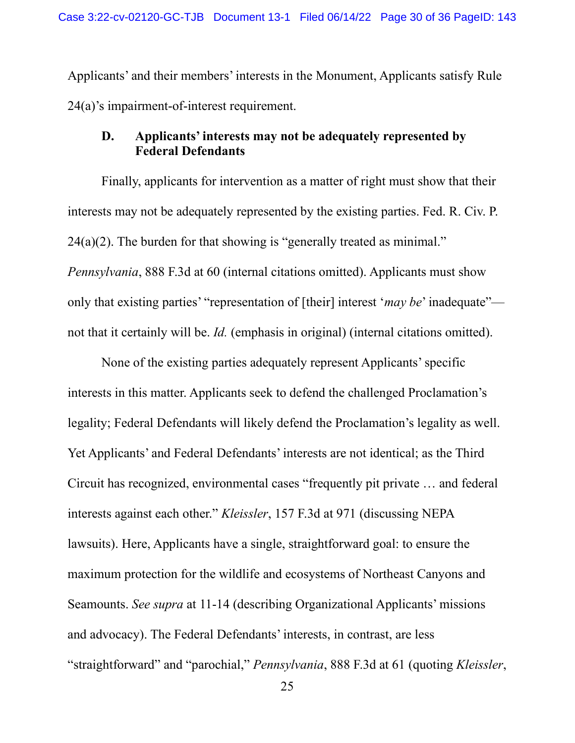Applicants' and their members' interests in the Monument, Applicants satisfy Rule 24(a)'s impairment-of-interest requirement.

## **D. Applicants' interests may not be adequately represented by Federal Defendants**

Finally, applicants for intervention as a matter of right must show that their interests may not be adequately represented by the existing parties. Fed. R. Civ. P.  $24(a)(2)$ . The burden for that showing is "generally treated as minimal." *Pennsylvania*, 888 F.3d at 60 (internal citations omitted). Applicants must show only that existing parties' "representation of [their] interest '*may be*' inadequate" not that it certainly will be. *Id.* (emphasis in original) (internal citations omitted).

None of the existing parties adequately represent Applicants' specific interests in this matter. Applicants seek to defend the challenged Proclamation's legality; Federal Defendants will likely defend the Proclamation's legality as well. Yet Applicants' and Federal Defendants' interests are not identical; as the Third Circuit has recognized, environmental cases "frequently pit private … and federal interests against each other." *Kleissler*, 157 F.3d at 971 (discussing NEPA lawsuits). Here, Applicants have a single, straightforward goal: to ensure the maximum protection for the wildlife and ecosystems of Northeast Canyons and Seamounts. *See supra* at 11-14 (describing Organizational Applicants' missions and advocacy). The Federal Defendants' interests, in contrast, are less "straightforward" and "parochial," *Pennsylvania*, 888 F.3d at 61 (quoting *Kleissler*,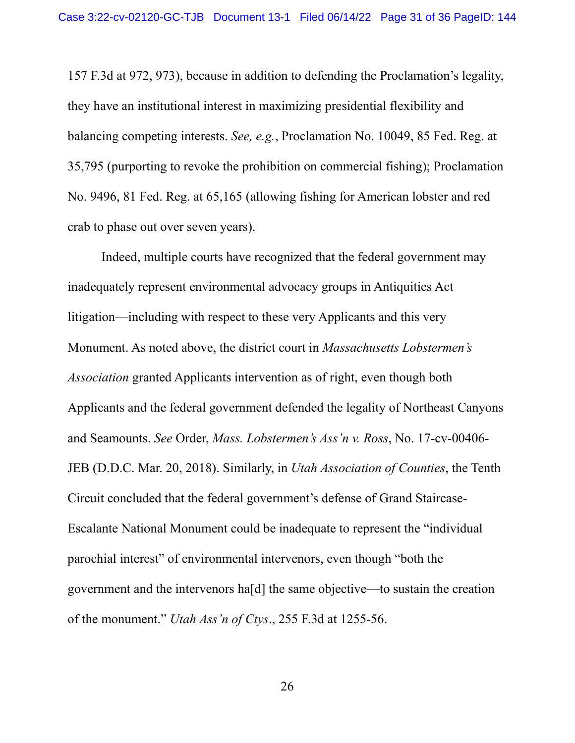157 F.3d at 972, 973), because in addition to defending the Proclamation's legality, they have an institutional interest in maximizing presidential flexibility and balancing competing interests. *See, e.g.*, Proclamation No. 10049, 85 Fed. Reg. at 35,795 (purporting to revoke the prohibition on commercial fishing); Proclamation No. 9496, 81 Fed. Reg. at 65,165 (allowing fishing for American lobster and red crab to phase out over seven years).

Indeed, multiple courts have recognized that the federal government may inadequately represent environmental advocacy groups in Antiquities Act litigation—including with respect to these very Applicants and this very Monument. As noted above, the district court in *Massachusetts Lobstermen's Association* granted Applicants intervention as of right, even though both Applicants and the federal government defended the legality of Northeast Canyons and Seamounts. *See* Order, *Mass. Lobstermen's Ass'n v. Ross*, No. 17-cv-00406- JEB (D.D.C. Mar. 20, 2018). Similarly, in *Utah Association of Counties*, the Tenth Circuit concluded that the federal government's defense of Grand Staircase-Escalante National Monument could be inadequate to represent the "individual parochial interest" of environmental intervenors, even though "both the government and the intervenors ha[d] the same objective—to sustain the creation of the monument." *Utah Ass'n of Ctys*., 255 F.3d at 1255-56.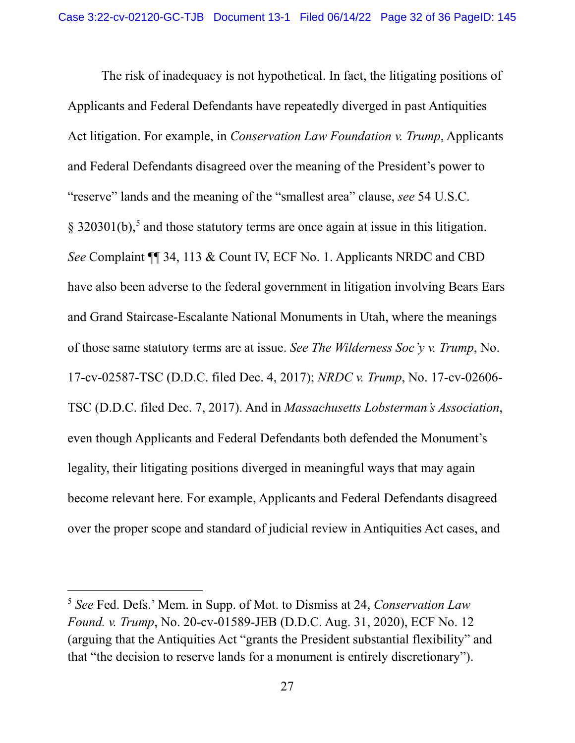The risk of inadequacy is not hypothetical. In fact, the litigating positions of Applicants and Federal Defendants have repeatedly diverged in past Antiquities Act litigation. For example, in *Conservation Law Foundation v. Trump*, Applicants and Federal Defendants disagreed over the meaning of the President's power to "reserve" lands and the meaning of the "smallest area" clause, *see* 54 U.S.C. § 320301(b),<sup>5</sup> and those statutory terms are once again at issue in this litigation. *See* Complaint ¶¶ 34, 113 & Count IV, ECF No. 1. Applicants NRDC and CBD have also been adverse to the federal government in litigation involving Bears Ears and Grand Staircase-Escalante National Monuments in Utah, where the meanings of those same statutory terms are at issue. *See The Wilderness Soc'y v. Trump*, No. 17-cv-02587-TSC (D.D.C. filed Dec. 4, 2017); *NRDC v. Trump*, No. 17-cv-02606- TSC (D.D.C. filed Dec. 7, 2017). And in *Massachusetts Lobsterman's Association*, even though Applicants and Federal Defendants both defended the Monument's legality, their litigating positions diverged in meaningful ways that may again become relevant here. For example, Applicants and Federal Defendants disagreed over the proper scope and standard of judicial review in Antiquities Act cases, and

<sup>5</sup> *See* Fed. Defs.' Mem. in Supp. of Mot. to Dismiss at 24, *Conservation Law Found. v. Trump*, No. 20-cv-01589-JEB (D.D.C. Aug. 31, 2020), ECF No. 12 (arguing that the Antiquities Act "grants the President substantial flexibility" and that "the decision to reserve lands for a monument is entirely discretionary").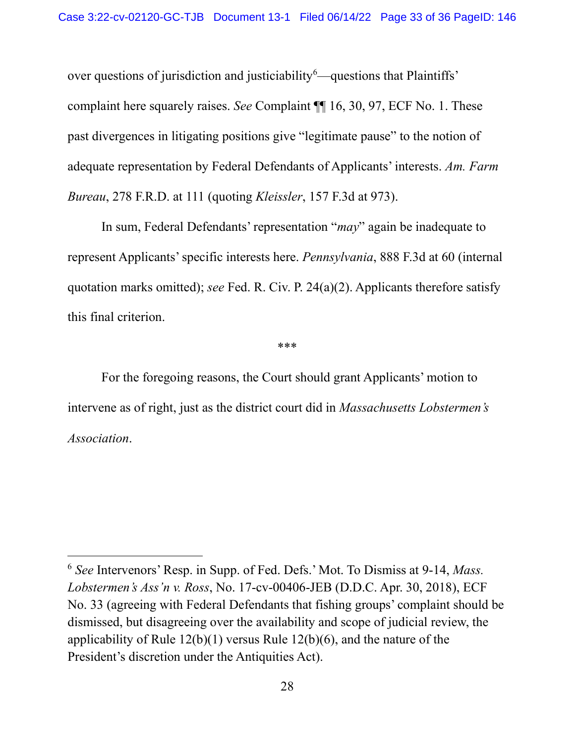over questions of jurisdiction and justiciability  $\delta$ —questions that Plaintiffs' complaint here squarely raises. *See* Complaint ¶¶ 16, 30, 97, ECF No. 1. These past divergences in litigating positions give "legitimate pause" to the notion of adequate representation by Federal Defendants of Applicants' interests. *Am. Farm Bureau*, 278 F.R.D. at 111 (quoting *Kleissler*, 157 F.3d at 973).

In sum, Federal Defendants' representation "*may*" again be inadequate to represent Applicants' specific interests here. *Pennsylvania*, 888 F.3d at 60 (internal quotation marks omitted); *see* Fed. R. Civ. P. 24(a)(2). Applicants therefore satisfy this final criterion.

\*\*\*

For the foregoing reasons, the Court should grant Applicants' motion to intervene as of right, just as the district court did in *Massachusetts Lobstermen's Association*.

<sup>6</sup> *See* Intervenors' Resp. in Supp. of Fed. Defs.' Mot. To Dismiss at 9-14, *Mass. Lobstermen's Ass'n v. Ross*, No. 17-cv-00406-JEB (D.D.C. Apr. 30, 2018), ECF No. 33 (agreeing with Federal Defendants that fishing groups' complaint should be dismissed, but disagreeing over the availability and scope of judicial review, the applicability of Rule 12(b)(1) versus Rule 12(b)(6), and the nature of the President's discretion under the Antiquities Act).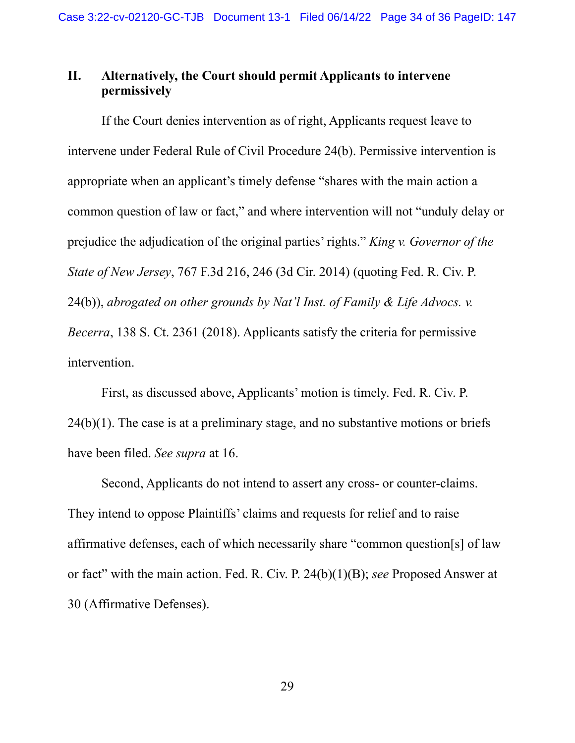# **II. Alternatively, the Court should permit Applicants to intervene permissively**

If the Court denies intervention as of right, Applicants request leave to intervene under Federal Rule of Civil Procedure 24(b). Permissive intervention is appropriate when an applicant's timely defense "shares with the main action a common question of law or fact," and where intervention will not "unduly delay or prejudice the adjudication of the original parties' rights." *King v. Governor of the State of New Jersey*, 767 F.3d 216, 246 (3d Cir. 2014) (quoting Fed. R. Civ. P. 24(b)), *abrogated on other grounds by Nat'l Inst. of Family & Life Advocs. v. Becerra*, 138 S. Ct. 2361 (2018). Applicants satisfy the criteria for permissive intervention.

First, as discussed above, Applicants' motion is timely. Fed. R. Civ. P.  $24(b)(1)$ . The case is at a preliminary stage, and no substantive motions or briefs have been filed. *See supra* at 16.

Second, Applicants do not intend to assert any cross- or counter-claims. They intend to oppose Plaintiffs' claims and requests for relief and to raise affirmative defenses, each of which necessarily share "common question[s] of law or fact" with the main action. Fed. R. Civ. P. 24(b)(1)(B); *see* Proposed Answer at 30 (Affirmative Defenses).

29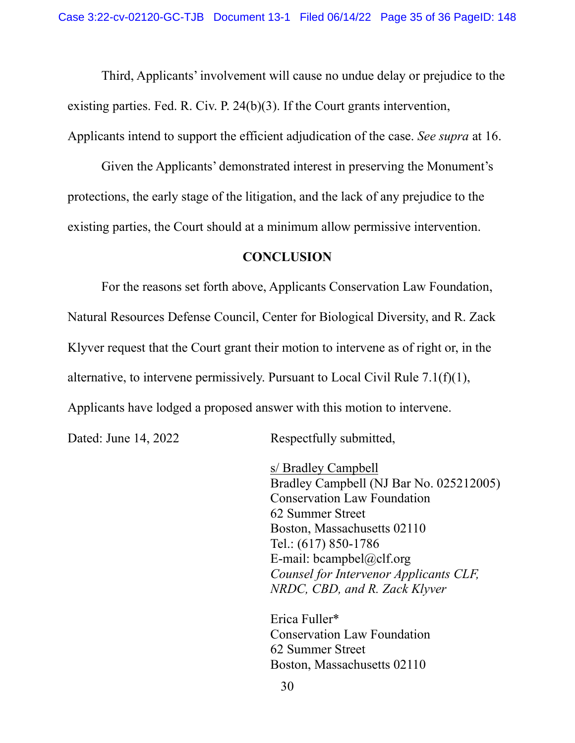Third, Applicants' involvement will cause no undue delay or prejudice to the existing parties. Fed. R. Civ. P. 24(b)(3). If the Court grants intervention, Applicants intend to support the efficient adjudication of the case. *See supra* at 16.

Given the Applicants' demonstrated interest in preserving the Monument's protections, the early stage of the litigation, and the lack of any prejudice to the existing parties, the Court should at a minimum allow permissive intervention.

#### **CONCLUSION**

For the reasons set forth above, Applicants Conservation Law Foundation, Natural Resources Defense Council, Center for Biological Diversity, and R. Zack Klyver request that the Court grant their motion to intervene as of right or, in the alternative, to intervene permissively. Pursuant to Local Civil Rule 7.1(f)(1), Applicants have lodged a proposed answer with this motion to intervene.

Dated: June 14, 2022 Respectfully submitted,

s/ Bradley Campbell Bradley Campbell (NJ Bar No. 025212005) Conservation Law Foundation 62 Summer Street Boston, Massachusetts 02110 Tel.: (617) 850-1786 E-mail: bcampbel@clf.org *Counsel for Intervenor Applicants CLF, NRDC, CBD, and R. Zack Klyver*

Erica Fuller\* Conservation Law Foundation 62 Summer Street Boston, Massachusetts 02110